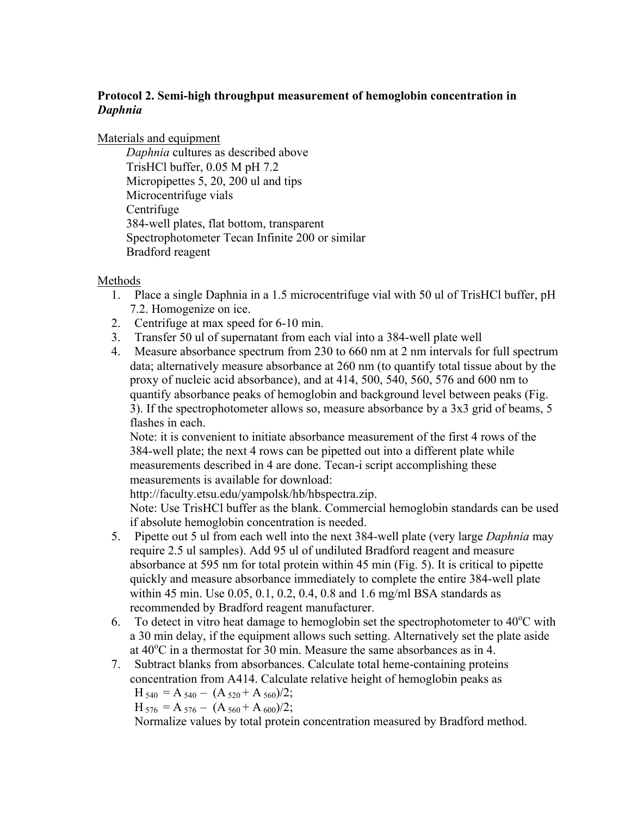## **Protocol 2. Semi-high throughput measurement of hemoglobin concentration in** *Daphnia*

Materials and equipment

*Daphnia* cultures as described above TrisHCl buffer, 0.05 M pH 7.2 Micropipettes 5, 20, 200 ul and tips Microcentrifuge vials **Centrifuge** 384-well plates, flat bottom, transparent Spectrophotometer Tecan Infinite 200 or similar Bradford reagent

## Methods

- 1. Place a single Daphnia in a 1.5 microcentrifuge vial with 50 ul of TrisHCl buffer, pH 7.2. Homogenize on ice.
- 2. Centrifuge at max speed for 6-10 min.
- 3. Transfer 50 ul of supernatant from each vial into a 384-well plate well
- 4. Measure absorbance spectrum from 230 to 660 nm at 2 nm intervals for full spectrum data; alternatively measure absorbance at 260 nm (to quantify total tissue about by the proxy of nucleic acid absorbance), and at 414, 500, 540, 560, 576 and 600 nm to quantify absorbance peaks of hemoglobin and background level between peaks (Fig. 3). If the spectrophotometer allows so, measure absorbance by a 3x3 grid of beams, 5 flashes in each.

Note: it is convenient to initiate absorbance measurement of the first 4 rows of the 384-well plate; the next 4 rows can be pipetted out into a different plate while measurements described in 4 are done. Tecan-i script accomplishing these measurements is available for download:

http://faculty.etsu.edu/yampolsk/hb/hbspectra.zip.

Note: Use TrisHCl buffer as the blank. Commercial hemoglobin standards can be used if absolute hemoglobin concentration is needed.

- 5. Pipette out 5 ul from each well into the next 384-well plate (very large *Daphnia* may require 2.5 ul samples). Add 95 ul of undiluted Bradford reagent and measure absorbance at 595 nm for total protein within 45 min (Fig. 5). It is critical to pipette quickly and measure absorbance immediately to complete the entire 384-well plate within 45 min. Use 0.05, 0.1, 0.2, 0.4, 0.8 and 1.6 mg/ml BSA standards as recommended by Bradford reagent manufacturer.
- 6. To detect in vitro heat damage to hemoglobin set the spectrophotometer to  $40^{\circ}$ C with a 30 min delay, if the equipment allows such setting. Alternatively set the plate aside at 40°C in a thermostat for 30 min. Measure the same absorbances as in 4.
- 7. Subtract blanks from absorbances. Calculate total heme-containing proteins concentration from A414. Calculate relative height of hemoglobin peaks as

 $H_{540} = A_{540} - (A_{520} + A_{560})/2;$  $H_{576} = A_{576} - (A_{560} + A_{600})/2;$ 

Normalize values by total protein concentration measured by Bradford method.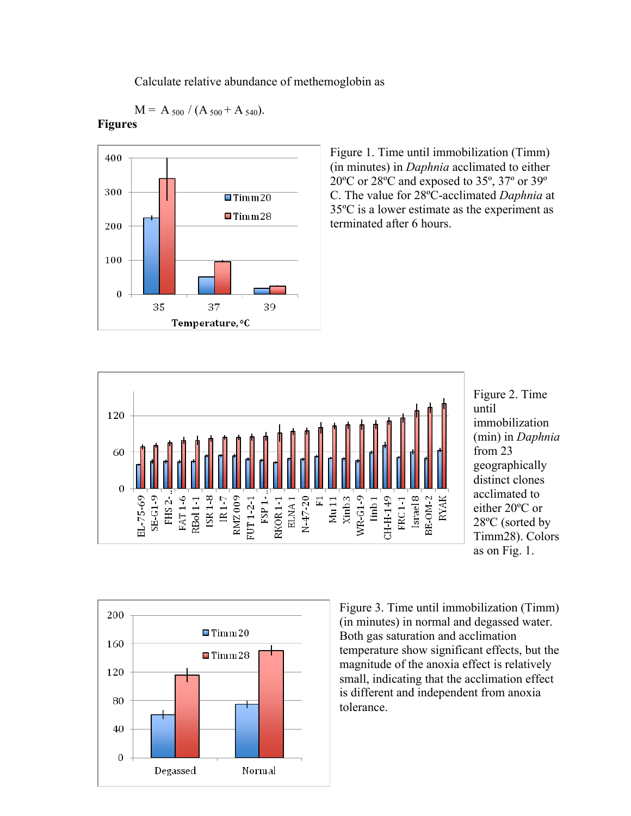Calculate relative abundance of methemoglobin as

 $M = A_{500} / (A_{500} + A_{540}).$ 



## **Figures**

Figure 1. Time until immobilization (Timm) (in minutes) in *Daphnia* acclimated to either 20ºC or 28ºC and exposed to 35º, 37º or 39º C. The value for 28ºC-acclimated *Daphnia* at 35ºC is a lower estimate as the experiment as terminated after 6 hours.



Figure 2. Time until immobilization (min) in *Daphnia* from 23 geographically distinct clones acclimated to either 20ºC or 28ºC (sorted by Timm28). Colors as on Fig. 1.



Figure 3. Time until immobilization (Timm) (in minutes) in normal and degassed water. Both gas saturation and acclimation temperature show significant effects, but the magnitude of the anoxia effect is relatively small, indicating that the acclimation effect is different and independent from anoxia tolerance.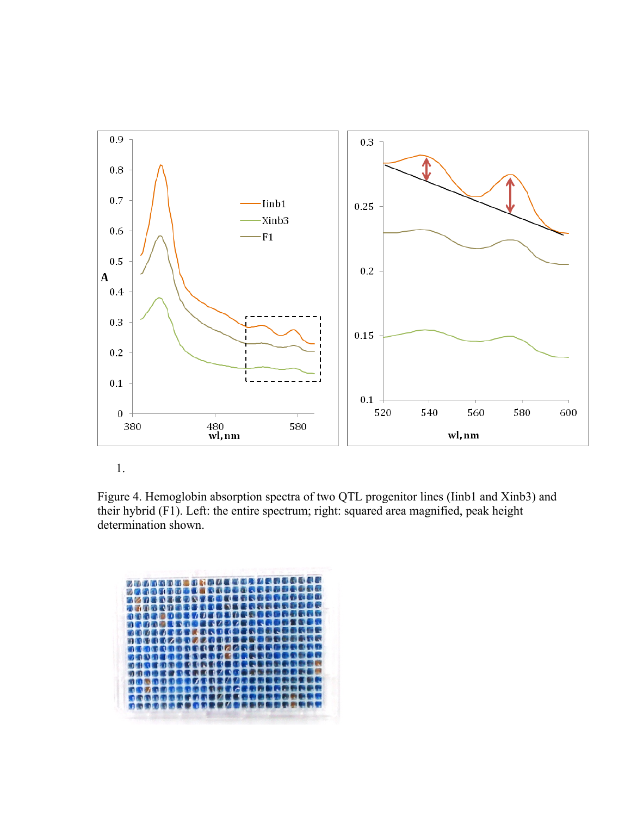

1.

Figure 4. Hemoglobin absorption spectra of two QTL progenitor lines (Iinb1 and Xinb3) and their hybrid (F1). Left: the entire spectrum; right: squared area magnified, peak height determination shown.